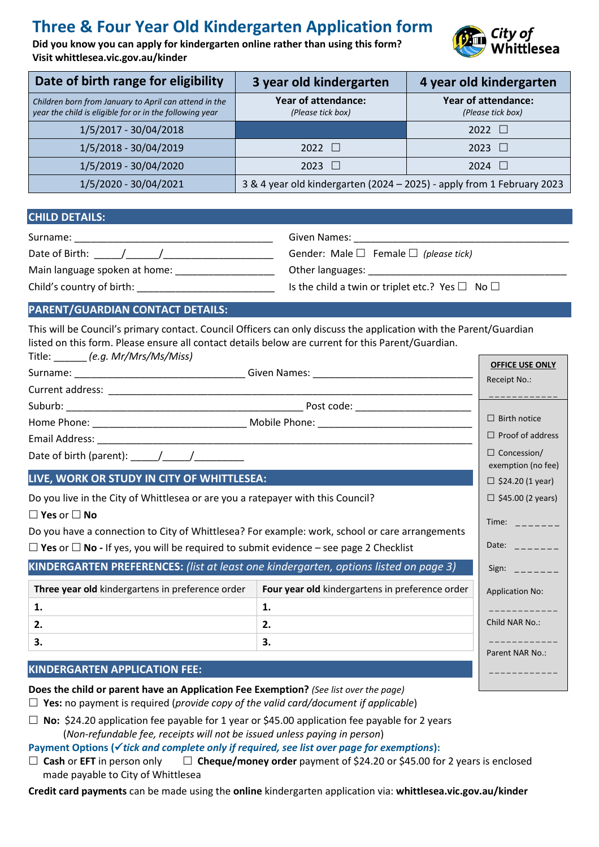# **Three & Four Year Old Kindergarten Application form**

**Did you know you can apply for kindergarten [online](https://kindergarten.whittlesea.vic.gov.au/) rather than using this form? Visit whittlesea.vic.gov.au/kinder**



| Date of birth range for eligibility                                                                              | 3 year old kindergarten                                                | 4 year old kindergarten                         |
|------------------------------------------------------------------------------------------------------------------|------------------------------------------------------------------------|-------------------------------------------------|
| Children born from January to April can attend in the<br>year the child is eligible for or in the following year | <b>Year of attendance:</b><br>(Please tick box)                        | <b>Year of attendance:</b><br>(Please tick box) |
| 1/5/2017 - 30/04/2018                                                                                            |                                                                        | 2022<br>a pr                                    |
| 1/5/2018 - 30/04/2019                                                                                            | 2022 $\Box$                                                            | $2023$ $\Box$                                   |
| 1/5/2019 - 30/04/2020                                                                                            | 2023 $\Box$                                                            | 2024<br>- 14                                    |
| 1/5/2020 - 30/04/2021                                                                                            | 3 & 4 year old kindergarten (2024 - 2025) - apply from 1 February 2023 |                                                 |

### **CHILD DETAILS:**

| Surname:                      | Given Names:                                              |
|-------------------------------|-----------------------------------------------------------|
| Date of Birth:                | Gender: Male $\Box$ Female $\Box$ (please tick)           |
| Main language spoken at home: | Other languages:                                          |
| Child's country of birth:     | Is the child a twin or triplet etc.? Yes $\Box$ No $\Box$ |

# **PARENT/GUARDIAN CONTACT DETAILS:**

This will be Council's primary contact. Council Officers can only discuss the application with the Parent/Guardian listed on this form. Please ensure all contact details below are current for this Parent/Guardian. Title: \_\_\_\_\_\_ *(e.g. Mr/Mrs/Ms/Miss)*

|                                                                                                  |                                                 | <b>OFFICE USE ONLY</b><br>Receipt No.:                                              |  |
|--------------------------------------------------------------------------------------------------|-------------------------------------------------|-------------------------------------------------------------------------------------|--|
|                                                                                                  |                                                 |                                                                                     |  |
|                                                                                                  |                                                 |                                                                                     |  |
|                                                                                                  |                                                 | $\Box$ Birth notice                                                                 |  |
|                                                                                                  |                                                 | $\Box$ Proof of address                                                             |  |
|                                                                                                  |                                                 | $\Box$ Concession/<br>exemption (no fee)                                            |  |
| LIVE, WORK OR STUDY IN CITY OF WHITTLESEA:                                                       |                                                 | $\Box$ \$24.20 (1 year)                                                             |  |
| Do you live in the City of Whittlesea or are you a ratepayer with this Council?                  |                                                 | $\Box$ \$45.00 (2 years)                                                            |  |
| $\Box$ Yes or $\Box$ No                                                                          |                                                 | Time: $\frac{1}{2}$ = $\frac{1}{2}$ = $\frac{1}{2}$ = $\frac{1}{2}$                 |  |
| Do you have a connection to City of Whittlesea? For example: work, school or care arrangements   |                                                 |                                                                                     |  |
| $\Box$ Yes or $\Box$ No - If yes, you will be required to submit evidence – see page 2 Checklist |                                                 | Date: $\frac{1}{2}$                                                                 |  |
| KINDERGARTEN PREFERENCES: (list at least one kindergarten, options listed on page 3)             |                                                 | Sign: $\frac{1}{2}$ = $\frac{1}{2}$ = $\frac{1}{2}$ = $\frac{1}{2}$ = $\frac{1}{2}$ |  |
| Three year old kindergartens in preference order                                                 | Four year old kindergartens in preference order | <b>Application No:</b>                                                              |  |
| 1.                                                                                               | 1.                                              | ____________                                                                        |  |
| 2.                                                                                               | 2.                                              | Child NAR No.:                                                                      |  |
| 3.                                                                                               | 3.                                              |                                                                                     |  |
| <b>KINDERGARTEN APPLICATION FEE:</b>                                                             | Parent NAR No.:<br>___________                  |                                                                                     |  |
| Does the child or parent have an Application Fee Exemption? (See list over the page)             |                                                 |                                                                                     |  |

**Yes:** no payment is required (*provide copy of the valid card/document if applicable*)

 **No:** \$24.20 application fee payable for 1 year or \$45.00 application fee payable for 2 years (*Non-refundable fee, receipts will not be issued unless paying in person*)

Payment Options (√*tick and complete only if required, see list over page for exemptions*):

 **Cash** or **EFT** in person only **Cheque/money order** payment of \$24.20 or \$45.00 for 2 years is enclosed made payable to City of Whittlesea

**Credit card payments** can be made using the **online** kindergarten application via: **whittlesea.vic.gov.au/kinder**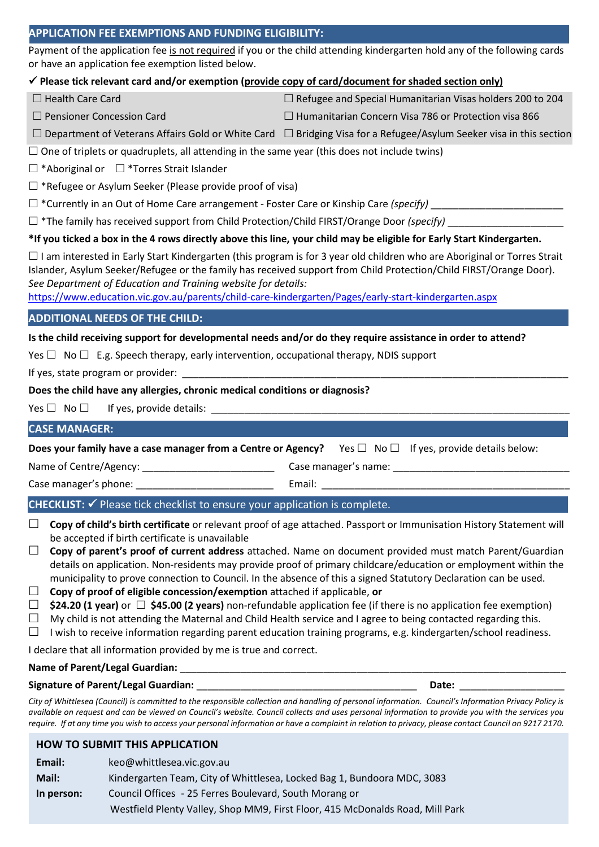# **APPLICATION FEE EXEMPTIONS AND FUNDING ELIGIBILITY:**

Payment of the application fee is not required if you or the child attending kindergarten hold any of the following cards or have an application fee exemption listed below.

## ✓ **Please tick relevant card and/or exemption (provide copy of card/document for shaded section only)**

 $\Box$  Health Care Card  $\Box$  Refugee and Special Humanitarian Visas holders 200 to 204

- 
- $\Box$  Pensioner Concession Card  $\Box$  Humanitarian Concern Visa 786 or Protection visa 866
	- $\Box$  Department of Veterans Affairs Gold or White Card  $\Box$  Bridging Visa for a Refugee/Asylum Seeker visa in this section

 $\square$  One of triplets or quadruplets, all attending in the same year (this does not include twins)

 $\Box$  \*Aboriginal or  $\Box$  \*Torres Strait Islander

 $\Box$  \*Refugee or Asylum Seeker (Please provide proof of visa)

 $\square$  \*Currently in an Out of Home Care arrangement - Foster Care or Kinship Care *(specify)* 

□ \*The family has received support from Child Protection/Child FIRST/Orange Door *(specify)* 

**\*If you ticked a box in the 4 rows directly above this line, your child may be eligible for Early Start Kindergarten.**

 $\Box$  I am interested in Early Start Kindergarten (this program is for 3 year old children who are Aboriginal or Torres Strait Islander, Asylum Seeker/Refugee or the family has received support from Child Protection/Child FIRST/Orange Door). *See Department of Education and Training website for details:*

<https://www.education.vic.gov.au/parents/child-care-kindergarten/Pages/early-start-kindergarten.aspx>

# **ADDITIONAL NEEDS OF THE CHILD:**

# **Is the child receiving support for developmental needs and/or do they require assistance in order to attend?**

Yes  $\Box$  No  $\Box$  E.g. Speech therapy, early intervention, occupational therapy, NDIS support

If yes, state program or provider:

# **Does the child have any allergies, chronic medical conditions or diagnosis?**

Yes  $\Box$  No  $\Box$  If yes, provide details:

# **CASE MANAGER:**

**Does your family have a case manager from a Centre or Agency?** Yes □ No □ If yes, provide details below:

Name of Centre/Agency: \_\_\_\_\_\_\_\_\_\_\_\_\_\_\_\_\_\_\_\_\_\_\_\_\_\_\_\_\_\_\_\_\_\_\_Case manager's name: \_\_\_\_\_\_\_\_\_\_\_\_\_\_\_\_\_\_\_\_\_

Case manager's phone: \_\_\_\_\_\_\_\_\_\_\_\_\_\_\_\_\_\_\_\_\_\_\_\_\_ Email: \_\_\_\_\_\_\_\_\_\_\_\_\_\_\_\_\_\_\_\_\_\_\_\_\_\_\_\_\_\_\_\_\_\_\_\_\_\_\_\_\_\_\_\_\_

# **CHECKLIST:** ✓ Please tick checklist to ensure your application is complete.

- **Copy of child's birth certificate** or relevant proof of age attached. Passport or Immunisation History Statement will be accepted if birth certificate is unavailable
- □ **Copy of parent's proof of current address** attached. Name on document provided must match Parent/Guardian details on application. Non-residents may provide proof of primary childcare/education or employment within the municipality to prove connection to Council. In the absence of this a signed Statutory Declaration can be used.
- **Copy of proof of eligible concession/exemption** attached if applicable, **or**
- **\$24.20 (1 year)** or **\$45.00 (2 years)** non-refundable application fee (if there is no application fee exemption)

 $\Box$  My child is not attending the Maternal and Child Health service and I agree to being contacted regarding this.

 $\Box$  I wish to receive information regarding parent education training programs, e.g. kindergarten/school readiness.

I declare that all information provided by me is true and correct.

## Name of Parent/Legal Guardian:

## **Signature of Parent/Legal Guardian:** \_\_\_\_\_\_\_\_\_\_\_\_\_\_\_\_\_\_\_\_\_\_\_\_\_\_\_\_\_\_\_\_\_\_\_\_\_\_\_\_ **Date:** \_\_\_\_\_\_\_\_\_\_\_\_\_\_\_\_\_\_\_

*City of Whittlesea (Council) is committed to the responsible collection and handling of personal information. Council's Information Privacy Policy is available on request and can be viewed on Council's website. Council collects and uses personal information to provide you with the services you require. If at any time you wish to access your personal information or have a complaint in relation to privacy, please contact Council on 9217 2170.*

# **HOW TO SUBMIT THIS APPLICATION**

**Email:** [keo@whittlesea.vic.gov.au](mailto:keo@whittlesea.vic.gov.au) **Mail:** Kindergarten Team, City of Whittlesea, Locked Bag 1, Bundoora MDC, 3083 **In person:** Council Offices - 25 Ferres Boulevard, South Morang or Westfield Plenty Valley, Shop MM9, First Floor, 415 McDonalds Road, Mill Park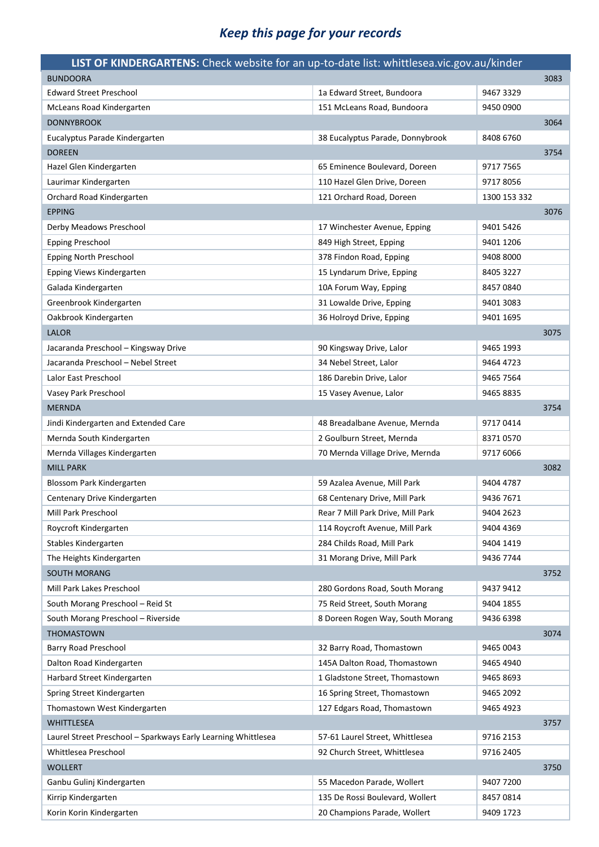# *Keep this page for your records*

| LIST OF KINDERGARTENS: Check website for an up-to-date list: whittlesea.vic.gov.au/kinder |                                   |              |      |
|-------------------------------------------------------------------------------------------|-----------------------------------|--------------|------|
| <b>BUNDOORA</b>                                                                           |                                   |              | 3083 |
| <b>Edward Street Preschool</b>                                                            | 1a Edward Street, Bundoora        | 9467 3329    |      |
| McLeans Road Kindergarten                                                                 | 151 McLeans Road, Bundoora        | 9450 0900    |      |
| <b>DONNYBROOK</b>                                                                         |                                   |              | 3064 |
| Eucalyptus Parade Kindergarten                                                            | 38 Eucalyptus Parade, Donnybrook  | 8408 6760    |      |
| <b>DOREEN</b>                                                                             |                                   |              | 3754 |
| Hazel Glen Kindergarten                                                                   | 65 Eminence Boulevard, Doreen     | 9717 7565    |      |
| Laurimar Kindergarten                                                                     | 110 Hazel Glen Drive, Doreen      | 97178056     |      |
| Orchard Road Kindergarten                                                                 | 121 Orchard Road, Doreen          | 1300 153 332 |      |
| <b>EPPING</b>                                                                             |                                   |              | 3076 |
| Derby Meadows Preschool                                                                   | 17 Winchester Avenue, Epping      | 9401 5426    |      |
| <b>Epping Preschool</b>                                                                   | 849 High Street, Epping           | 9401 1206    |      |
| Epping North Preschool                                                                    | 378 Findon Road, Epping           | 9408 8000    |      |
| Epping Views Kindergarten                                                                 | 15 Lyndarum Drive, Epping         | 8405 3227    |      |
| Galada Kindergarten                                                                       | 10A Forum Way, Epping             | 8457 0840    |      |
| Greenbrook Kindergarten                                                                   | 31 Lowalde Drive, Epping          | 9401 3083    |      |
| Oakbrook Kindergarten                                                                     | 36 Holroyd Drive, Epping          | 9401 1695    |      |
| <b>LALOR</b>                                                                              |                                   |              | 3075 |
| Jacaranda Preschool - Kingsway Drive                                                      | 90 Kingsway Drive, Lalor          | 9465 1993    |      |
| Jacaranda Preschool - Nebel Street                                                        | 34 Nebel Street, Lalor            | 9464 4723    |      |
| Lalor East Preschool                                                                      | 186 Darebin Drive, Lalor          | 9465 7564    |      |
| Vasey Park Preschool                                                                      | 15 Vasey Avenue, Lalor            | 9465 8835    |      |
| <b>MERNDA</b>                                                                             |                                   |              | 3754 |
| Jindi Kindergarten and Extended Care                                                      | 48 Breadalbane Avenue, Mernda     | 97170414     |      |
| Mernda South Kindergarten                                                                 | 2 Goulburn Street, Mernda         | 83710570     |      |
| Mernda Villages Kindergarten                                                              | 70 Mernda Village Drive, Mernda   | 9717 6066    |      |
| <b>MILL PARK</b>                                                                          |                                   |              | 3082 |
| Blossom Park Kindergarten                                                                 | 59 Azalea Avenue, Mill Park       | 9404 4787    |      |
| Centenary Drive Kindergarten                                                              | 68 Centenary Drive, Mill Park     | 9436 7671    |      |
| Mill Park Preschool                                                                       | Rear 7 Mill Park Drive, Mill Park | 9404 2623    |      |
| Roycroft Kindergarten                                                                     | 114 Roycroft Avenue, Mill Park    | 9404 4369    |      |
| Stables Kindergarten                                                                      | 284 Childs Road, Mill Park        | 9404 1419    |      |
| The Heights Kindergarten                                                                  | 31 Morang Drive, Mill Park        | 9436 7744    |      |
| <b>SOUTH MORANG</b>                                                                       |                                   |              | 3752 |
| Mill Park Lakes Preschool                                                                 | 280 Gordons Road, South Morang    | 9437 9412    |      |
| South Morang Preschool - Reid St                                                          | 75 Reid Street, South Morang      | 9404 1855    |      |
| South Morang Preschool - Riverside                                                        | 8 Doreen Rogen Way, South Morang  | 9436 6398    |      |
| <b>THOMASTOWN</b>                                                                         |                                   |              | 3074 |
| Barry Road Preschool                                                                      | 32 Barry Road, Thomastown         | 9465 0043    |      |
| Dalton Road Kindergarten                                                                  | 145A Dalton Road, Thomastown      | 9465 4940    |      |
| Harbard Street Kindergarten                                                               | 1 Gladstone Street, Thomastown    | 9465 8693    |      |
| Spring Street Kindergarten                                                                | 16 Spring Street, Thomastown      | 9465 2092    |      |
| Thomastown West Kindergarten                                                              | 127 Edgars Road, Thomastown       | 9465 4923    |      |
| <b>WHITTLESEA</b>                                                                         |                                   |              | 3757 |
| Laurel Street Preschool - Sparkways Early Learning Whittlesea                             | 57-61 Laurel Street, Whittlesea   | 9716 2153    |      |
| Whittlesea Preschool                                                                      | 92 Church Street, Whittlesea      | 9716 2405    |      |
| <b>WOLLERT</b>                                                                            |                                   |              | 3750 |
| Ganbu Gulinj Kindergarten                                                                 | 55 Macedon Parade, Wollert        | 9407 7200    |      |
| Kirrip Kindergarten                                                                       | 135 De Rossi Boulevard, Wollert   | 84570814     |      |
|                                                                                           |                                   |              |      |
| Korin Korin Kindergarten                                                                  | 20 Champions Parade, Wollert      | 9409 1723    |      |